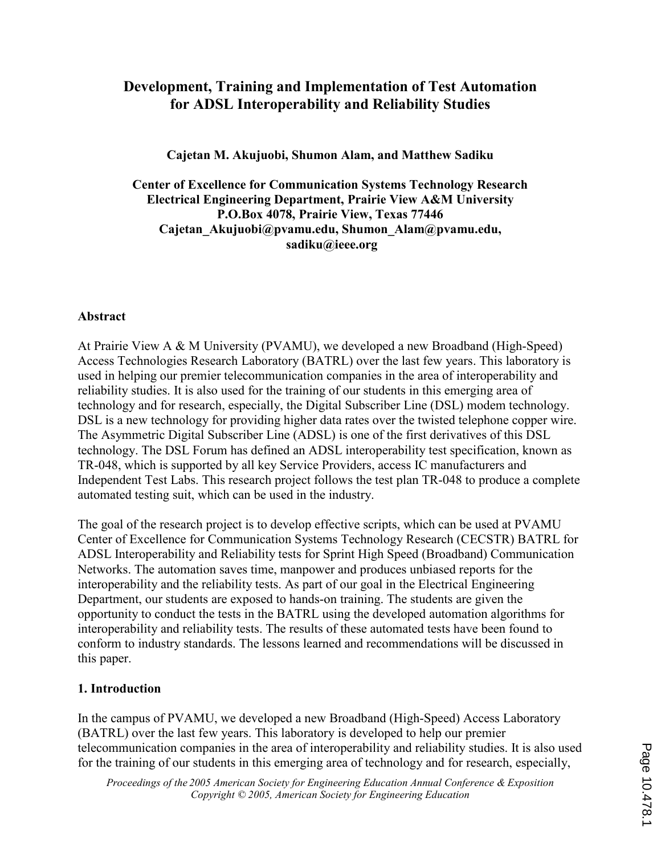# Development, Training and Implementation of Test Automation for ADSL Interoperability and Reliability Studies

Cajetan M. Akujuobi, Shumon Alam, and Matthew Sadiku

Center of Excellence for Communication Systems Technology Research Electrical Engineering Department, Prairie View A&M University P.O.Box 4078, Prairie View, Texas 77446 Cajetan\_Akujuobi@pvamu.edu, Shumon\_Alam@pvamu.edu, sadiku@ieee.org

### Abstract

At Prairie View A & M University (PVAMU), we developed a new Broadband (High-Speed) Access Technologies Research Laboratory (BATRL) over the last few years. This laboratory is used in helping our premier telecommunication companies in the area of interoperability and reliability studies. It is also used for the training of our students in this emerging area of technology and for research, especially, the Digital Subscriber Line (DSL) modem technology. DSL is a new technology for providing higher data rates over the twisted telephone copper wire. The Asymmetric Digital Subscriber Line (ADSL) is one of the first derivatives of this DSL technology. The DSL Forum has defined an ADSL interoperability test specification, known as TR-048, which is supported by all key Service Providers, access IC manufacturers and Independent Test Labs. This research project follows the test plan TR-048 to produce a complete automated testing suit, which can be used in the industry.

The goal of the research project is to develop effective scripts, which can be used at PVAMU Center of Excellence for Communication Systems Technology Research (CECSTR) BATRL for ADSL Interoperability and Reliability tests for Sprint High Speed (Broadband) Communication Networks. The automation saves time, manpower and produces unbiased reports for the interoperability and the reliability tests. As part of our goal in the Electrical Engineering Department, our students are exposed to hands-on training. The students are given the opportunity to conduct the tests in the BATRL using the developed automation algorithms for interoperability and reliability tests. The results of these automated tests have been found to conform to industry standards. The lessons learned and recommendations will be discussed in this paper.

## 1. Introduction

In the campus of PVAMU, we developed a new Broadband (High-Speed) Access Laboratory (BATRL) over the last few years. This laboratory is developed to help our premier telecommunication companies in the area of interoperability and reliability studies. It is also used for the training of our students in this emerging area of technology and for research, especially,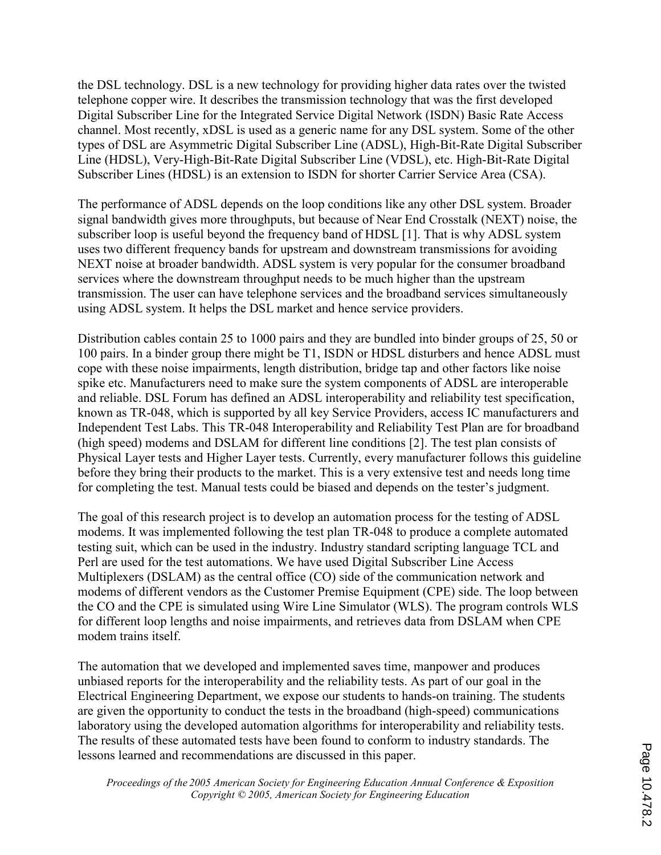the DSL technology. DSL is a new technology for providing higher data rates over the twisted telephone copper wire. It describes the transmission technology that was the first developed Digital Subscriber Line for the Integrated Service Digital Network (ISDN) Basic Rate Access channel. Most recently, xDSL is used as a generic name for any DSL system. Some of the other types of DSL are Asymmetric Digital Subscriber Line (ADSL), High-Bit-Rate Digital Subscriber Line (HDSL), Very-High-Bit-Rate Digital Subscriber Line (VDSL), etc. High-Bit-Rate Digital Subscriber Lines (HDSL) is an extension to ISDN for shorter Carrier Service Area (CSA).

The performance of ADSL depends on the loop conditions like any other DSL system. Broader signal bandwidth gives more throughputs, but because of Near End Crosstalk (NEXT) noise, the subscriber loop is useful beyond the frequency band of HDSL [1]. That is why ADSL system uses two different frequency bands for upstream and downstream transmissions for avoiding NEXT noise at broader bandwidth. ADSL system is very popular for the consumer broadband services where the downstream throughput needs to be much higher than the upstream transmission. The user can have telephone services and the broadband services simultaneously using ADSL system. It helps the DSL market and hence service providers.

Distribution cables contain 25 to 1000 pairs and they are bundled into binder groups of 25, 50 or 100 pairs. In a binder group there might be T1, ISDN or HDSL disturbers and hence ADSL must cope with these noise impairments, length distribution, bridge tap and other factors like noise spike etc. Manufacturers need to make sure the system components of ADSL are interoperable and reliable. DSL Forum has defined an ADSL interoperability and reliability test specification, known as TR-048, which is supported by all key Service Providers, access IC manufacturers and Independent Test Labs. This TR-048 Interoperability and Reliability Test Plan are for broadband (high speed) modems and DSLAM for different line conditions [2]. The test plan consists of Physical Layer tests and Higher Layer tests. Currently, every manufacturer follows this guideline before they bring their products to the market. This is a very extensive test and needs long time for completing the test. Manual tests could be biased and depends on the tester's judgment.

The goal of this research project is to develop an automation process for the testing of ADSL modems. It was implemented following the test plan TR-048 to produce a complete automated testing suit, which can be used in the industry. Industry standard scripting language TCL and Perl are used for the test automations. We have used Digital Subscriber Line Access Multiplexers (DSLAM) as the central office (CO) side of the communication network and modems of different vendors as the Customer Premise Equipment (CPE) side. The loop between the CO and the CPE is simulated using Wire Line Simulator (WLS). The program controls WLS for different loop lengths and noise impairments, and retrieves data from DSLAM when CPE modem trains itself.

The automation that we developed and implemented saves time, manpower and produces unbiased reports for the interoperability and the reliability tests. As part of our goal in the Electrical Engineering Department, we expose our students to hands-on training. The students are given the opportunity to conduct the tests in the broadband (high-speed) communications laboratory using the developed automation algorithms for interoperability and reliability tests. The results of these automated tests have been found to conform to industry standards. The lessons learned and recommendations are discussed in this paper.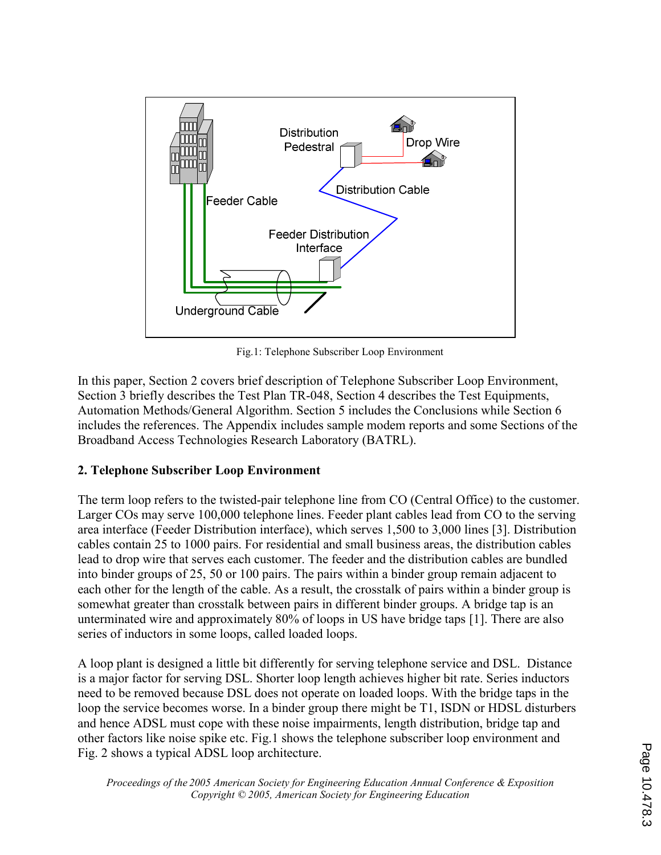

Fig.1: Telephone Subscriber Loop Environment

In this paper, Section 2 covers brief description of Telephone Subscriber Loop Environment, Section 3 briefly describes the Test Plan TR-048, Section 4 describes the Test Equipments, Automation Methods/General Algorithm. Section 5 includes the Conclusions while Section 6 includes the references. The Appendix includes sample modem reports and some Sections of the Broadband Access Technologies Research Laboratory (BATRL).

#### 2. Telephone Subscriber Loop Environment

The term loop refers to the twisted-pair telephone line from CO (Central Office) to the customer. Larger COs may serve 100,000 telephone lines. Feeder plant cables lead from CO to the serving area interface (Feeder Distribution interface), which serves 1,500 to 3,000 lines [3]. Distribution cables contain 25 to 1000 pairs. For residential and small business areas, the distribution cables lead to drop wire that serves each customer. The feeder and the distribution cables are bundled into binder groups of 25, 50 or 100 pairs. The pairs within a binder group remain adjacent to each other for the length of the cable. As a result, the crosstalk of pairs within a binder group is somewhat greater than crosstalk between pairs in different binder groups. A bridge tap is an unterminated wire and approximately 80% of loops in US have bridge taps [1]. There are also series of inductors in some loops, called loaded loops.

A loop plant is designed a little bit differently for serving telephone service and DSL. Distance is a major factor for serving DSL. Shorter loop length achieves higher bit rate. Series inductors need to be removed because DSL does not operate on loaded loops. With the bridge taps in the loop the service becomes worse. In a binder group there might be T1, ISDN or HDSL disturbers and hence ADSL must cope with these noise impairments, length distribution, bridge tap and other factors like noise spike etc. Fig.1 shows the telephone subscriber loop environment and Fig. 2 shows a typical ADSL loop architecture.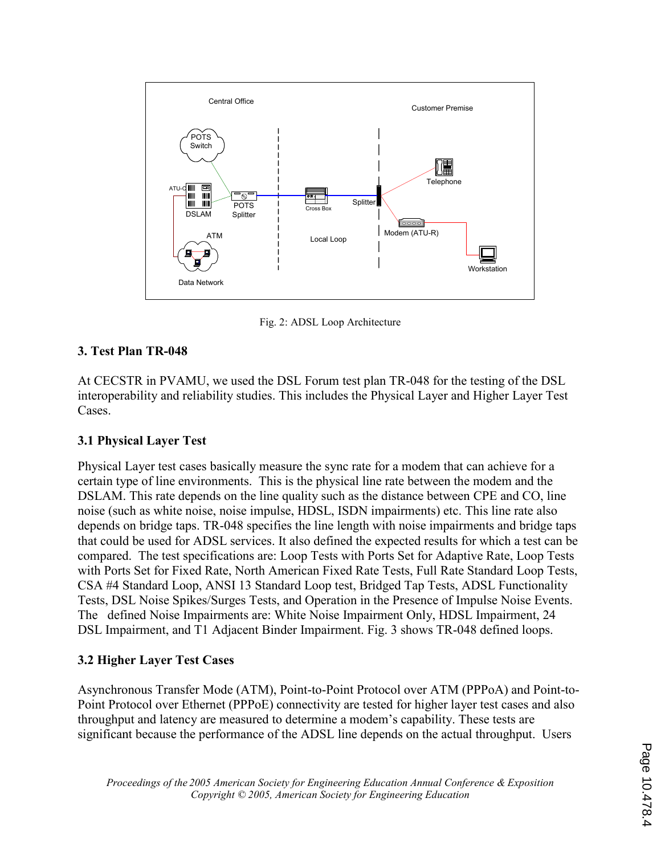

Fig. 2: ADSL Loop Architecture

# 3. Test Plan TR-048

At CECSTR in PVAMU, we used the DSL Forum test plan TR-048 for the testing of the DSL interoperability and reliability studies. This includes the Physical Layer and Higher Layer Test Cases.

## 3.1 Physical Layer Test

Physical Layer test cases basically measure the sync rate for a modem that can achieve for a certain type of line environments. This is the physical line rate between the modem and the DSLAM. This rate depends on the line quality such as the distance between CPE and CO, line noise (such as white noise, noise impulse, HDSL, ISDN impairments) etc. This line rate also depends on bridge taps. TR-048 specifies the line length with noise impairments and bridge taps that could be used for ADSL services. It also defined the expected results for which a test can be compared. The test specifications are: Loop Tests with Ports Set for Adaptive Rate, Loop Tests with Ports Set for Fixed Rate, North American Fixed Rate Tests, Full Rate Standard Loop Tests, CSA #4 Standard Loop, ANSI 13 Standard Loop test, Bridged Tap Tests, ADSL Functionality Tests, DSL Noise Spikes/Surges Tests, and Operation in the Presence of Impulse Noise Events. The defined Noise Impairments are: White Noise Impairment Only, HDSL Impairment, 24 DSL Impairment, and T1 Adjacent Binder Impairment. Fig. 3 shows TR-048 defined loops.

## 3.2 Higher Layer Test Cases

Asynchronous Transfer Mode (ATM), Point-to-Point Protocol over ATM (PPPoA) and Point-to-Point Protocol over Ethernet (PPPoE) connectivity are tested for higher layer test cases and also throughput and latency are measured to determine a modem's capability. These tests are significant because the performance of the ADSL line depends on the actual throughput. Users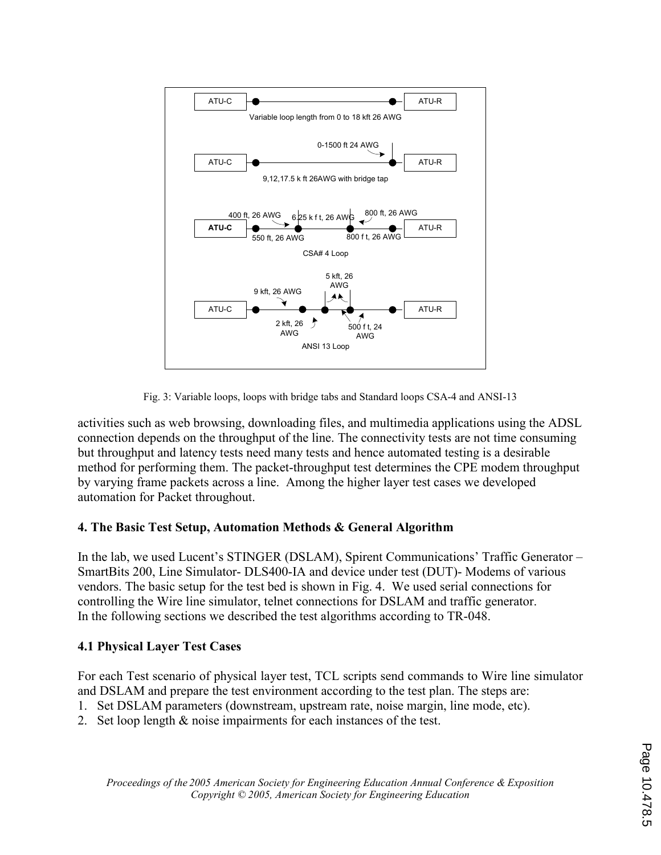

Fig. 3: Variable loops, loops with bridge tabs and Standard loops CSA-4 and ANSI-13

activities such as web browsing, downloading files, and multimedia applications using the ADSL connection depends on the throughput of the line. The connectivity tests are not time consuming but throughput and latency tests need many tests and hence automated testing is a desirable method for performing them. The packet-throughput test determines the CPE modem throughput by varying frame packets across a line. Among the higher layer test cases we developed automation for Packet throughout.

## 4. The Basic Test Setup, Automation Methods & General Algorithm

In the lab, we used Lucent's STINGER (DSLAM), Spirent Communications' Traffic Generator – SmartBits 200, Line Simulator- DLS400-IA and device under test (DUT)- Modems of various vendors. The basic setup for the test bed is shown in Fig. 4. We used serial connections for controlling the Wire line simulator, telnet connections for DSLAM and traffic generator. In the following sections we described the test algorithms according to TR-048.

# 4.1 Physical Layer Test Cases

For each Test scenario of physical layer test, TCL scripts send commands to Wire line simulator and DSLAM and prepare the test environment according to the test plan. The steps are:

- 1. Set DSLAM parameters (downstream, upstream rate, noise margin, line mode, etc).
- 2. Set loop length & noise impairments for each instances of the test.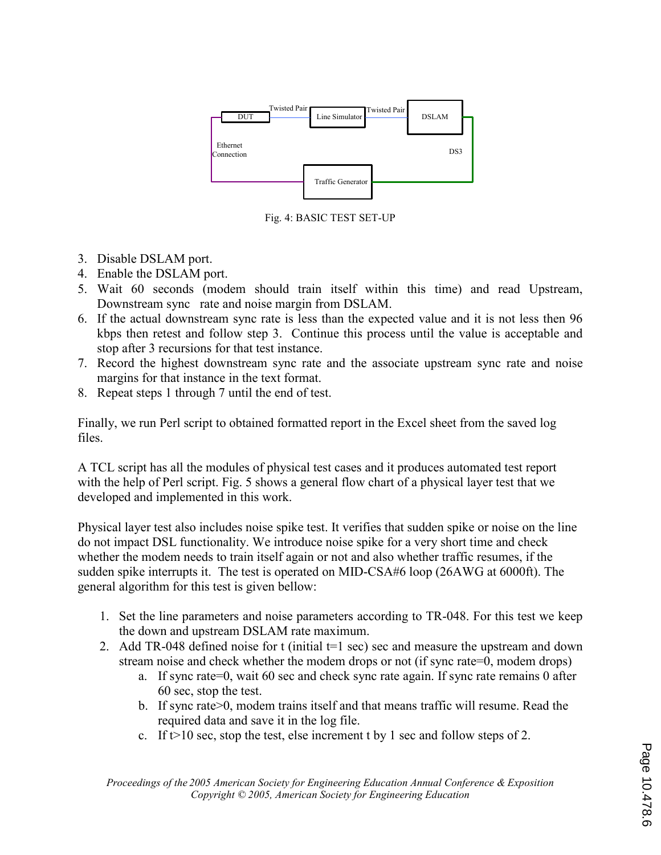

Fig. 4: BASIC TEST SET-UP

- 3. Disable DSLAM port.
- 4. Enable the DSLAM port.
- 5. Wait 60 seconds (modem should train itself within this time) and read Upstream, Downstream sync rate and noise margin from DSLAM.
- 6. If the actual downstream sync rate is less than the expected value and it is not less then 96 kbps then retest and follow step 3. Continue this process until the value is acceptable and stop after 3 recursions for that test instance.
- 7. Record the highest downstream sync rate and the associate upstream sync rate and noise margins for that instance in the text format.
- 8. Repeat steps 1 through 7 until the end of test.

Finally, we run Perl script to obtained formatted report in the Excel sheet from the saved log files.

A TCL script has all the modules of physical test cases and it produces automated test report with the help of Perl script. Fig. 5 shows a general flow chart of a physical layer test that we developed and implemented in this work.

Physical layer test also includes noise spike test. It verifies that sudden spike or noise on the line do not impact DSL functionality. We introduce noise spike for a very short time and check whether the modem needs to train itself again or not and also whether traffic resumes, if the sudden spike interrupts it. The test is operated on MID-CSA#6 loop (26AWG at 6000ft). The general algorithm for this test is given bellow:

- 1. Set the line parameters and noise parameters according to TR-048. For this test we keep the down and upstream DSLAM rate maximum.
- 2. Add TR-048 defined noise for t (initial t=1 sec) sec and measure the upstream and down stream noise and check whether the modem drops or not (if sync rate=0, modem drops)
	- a. If sync rate=0, wait 60 sec and check sync rate again. If sync rate remains 0 after 60 sec, stop the test.
	- b. If sync rate>0, modem trains itself and that means traffic will resume. Read the required data and save it in the log file.
	- c. If  $t > 10$  sec, stop the test, else increment t by 1 sec and follow steps of 2.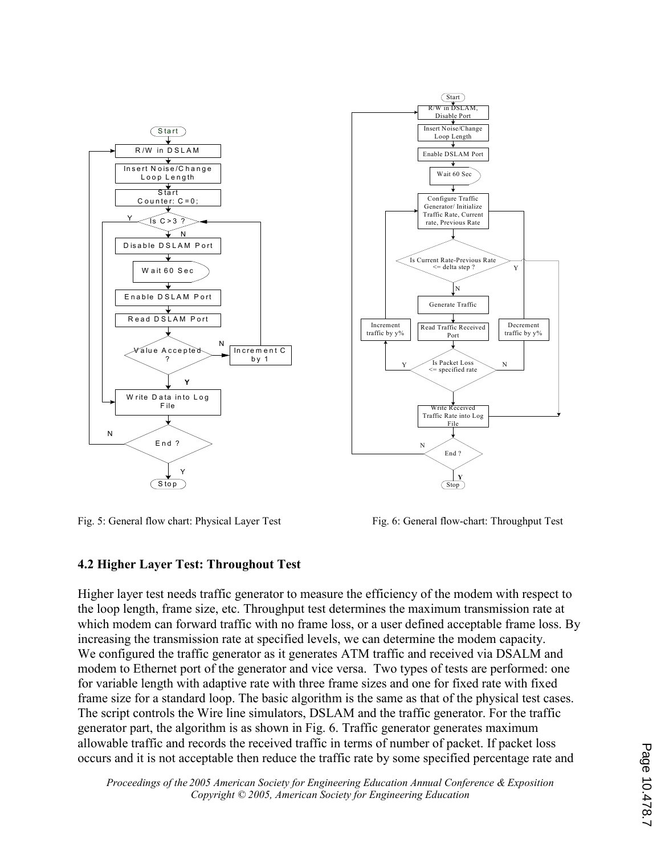



Fig. 5: General flow chart: Physical Layer Test Fig. 6: General flow-chart: Throughput Test

Port

N

Y

Decrement traffic by y%

N

File

End ?

**Stop** 

Y

 $\frac{1}{\sqrt{N}}$ 

(Start)

## 4.2 Higher Layer Test: Throughout Test

Higher layer test needs traffic generator to measure the efficiency of the modem with respect to the loop length, frame size, etc. Throughput test determines the maximum transmission rate at which modem can forward traffic with no frame loss, or a user defined acceptable frame loss. By increasing the transmission rate at specified levels, we can determine the modem capacity. We configured the traffic generator as it generates ATM traffic and received via DSALM and modem to Ethernet port of the generator and vice versa. Two types of tests are performed: one for variable length with adaptive rate with three frame sizes and one for fixed rate with fixed frame size for a standard loop. The basic algorithm is the same as that of the physical test cases. The script controls the Wire line simulators, DSLAM and the traffic generator. For the traffic generator part, the algorithm is as shown in Fig. 6. Traffic generator generates maximum allowable traffic and records the received traffic in terms of number of packet. If packet loss occurs and it is not acceptable then reduce the traffic rate by some specified percentage rate and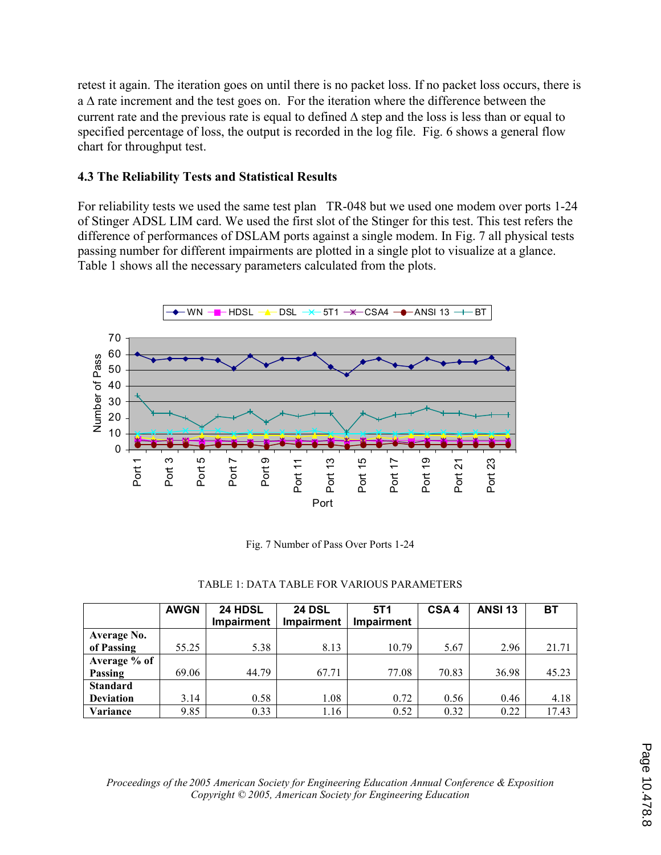retest it again. The iteration goes on until there is no packet loss. If no packet loss occurs, there is a Δ rate increment and the test goes on. For the iteration where the difference between the current rate and the previous rate is equal to defined  $\Delta$  step and the loss is less than or equal to specified percentage of loss, the output is recorded in the log file. Fig. 6 shows a general flow chart for throughput test.

### 4.3 The Reliability Tests and Statistical Results

For reliability tests we used the same test plan TR-048 but we used one modem over ports 1-24 of Stinger ADSL LIM card. We used the first slot of the Stinger for this test. This test refers the difference of performances of DSLAM ports against a single modem. In Fig. 7 all physical tests passing number for different impairments are plotted in a single plot to visualize at a glance. Table 1 shows all the necessary parameters calculated from the plots.



Fig. 7 Number of Pass Over Ports 1-24

|  | TABLE 1: DATA TABLE FOR VARIOUS PARAMETERS |  |  |  |
|--|--------------------------------------------|--|--|--|
|--|--------------------------------------------|--|--|--|

|                  | <b>AWGN</b> | <b>24 HDSL</b><br><b>Impairment</b> | <b>24 DSL</b><br><b>Impairment</b> | 5T1<br><b>Impairment</b> | CSA <sub>4</sub> | <b>ANSI 13</b> | B1    |
|------------------|-------------|-------------------------------------|------------------------------------|--------------------------|------------------|----------------|-------|
|                  |             |                                     |                                    |                          |                  |                |       |
| Average No.      |             |                                     |                                    |                          |                  |                |       |
| of Passing       | 55.25       | 5.38                                | 8.13                               | 10.79                    | 5.67             | 2.96           | 21.71 |
| Average % of     |             |                                     |                                    |                          |                  |                |       |
| Passing          | 69.06       | 44.79                               | 67.71                              | 77.08                    | 70.83            | 36.98          | 45.23 |
| <b>Standard</b>  |             |                                     |                                    |                          |                  |                |       |
| <b>Deviation</b> | 3.14        | 0.58                                | 1.08                               | 0.72                     | 0.56             | 0.46           | 4.18  |
| Variance         | 9.85        | 0.33                                | 1.16                               | 0.52                     | 0.32             | 0.22           | 17.43 |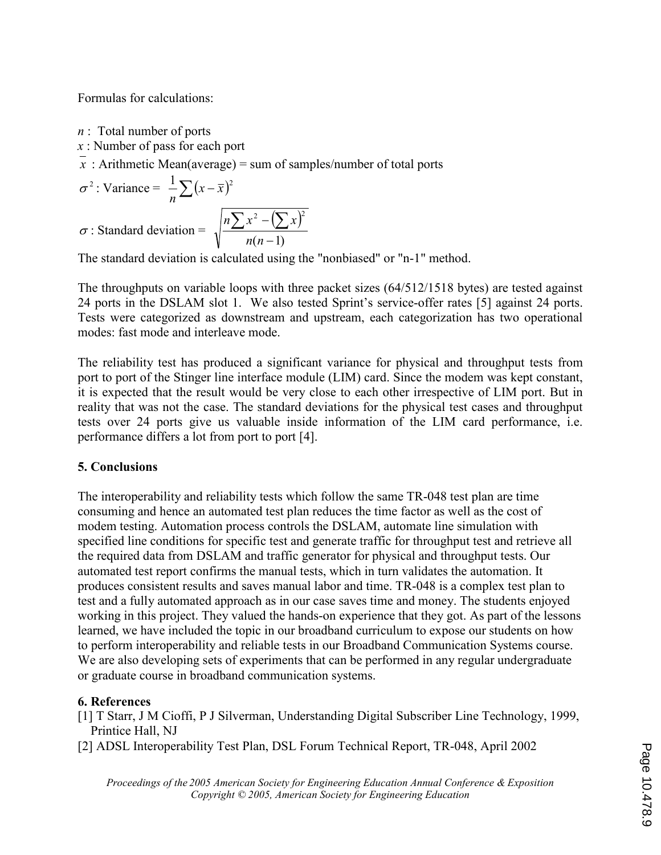Formulas for calculations:

 $n$ : Total number of ports

 $x$ : Number of pass for each port

x: Arithmetic Mean(average) = sum of samples/number of total ports

$$
\sigma^2
$$
: Variance =  $\frac{1}{n} \sum (x - \overline{x})^2$   

$$
\sigma
$$
: Standard deviation =  $\sqrt{\frac{n \sum x^2 - (\sum x)^2}{n(n-1)}}$ 

The standard deviation is calculated using the "nonbiased" or "n-1" method.

The throughputs on variable loops with three packet sizes (64/512/1518 bytes) are tested against 24 ports in the DSLAM slot 1. We also tested Sprint's service-offer rates [5] against 24 ports. Tests were categorized as downstream and upstream, each categorization has two operational modes: fast mode and interleave mode.

The reliability test has produced a significant variance for physical and throughput tests from port to port of the Stinger line interface module (LIM) card. Since the modem was kept constant, it is expected that the result would be very close to each other irrespective of LIM port. But in reality that was not the case. The standard deviations for the physical test cases and throughput tests over 24 ports give us valuable inside information of the LIM card performance, i.e. performance differs a lot from port to port [4].

## 5. Conclusions

The interoperability and reliability tests which follow the same TR-048 test plan are time consuming and hence an automated test plan reduces the time factor as well as the cost of modem testing. Automation process controls the DSLAM, automate line simulation with specified line conditions for specific test and generate traffic for throughput test and retrieve all the required data from DSLAM and traffic generator for physical and throughput tests. Our automated test report confirms the manual tests, which in turn validates the automation. It produces consistent results and saves manual labor and time. TR-048 is a complex test plan to test and a fully automated approach as in our case saves time and money. The students enjoyed working in this project. They valued the hands-on experience that they got. As part of the lessons learned, we have included the topic in our broadband curriculum to expose our students on how to perform interoperability and reliable tests in our Broadband Communication Systems course. We are also developing sets of experiments that can be performed in any regular undergraduate or graduate course in broadband communication systems.

# 6. References

- [1] T Starr, J M Cioffi, P J Silverman, Understanding Digital Subscriber Line Technology, 1999, Printice Hall, NJ
- [2] ADSL Interoperability Test Plan, DSL Forum Technical Report, TR-048, April 2002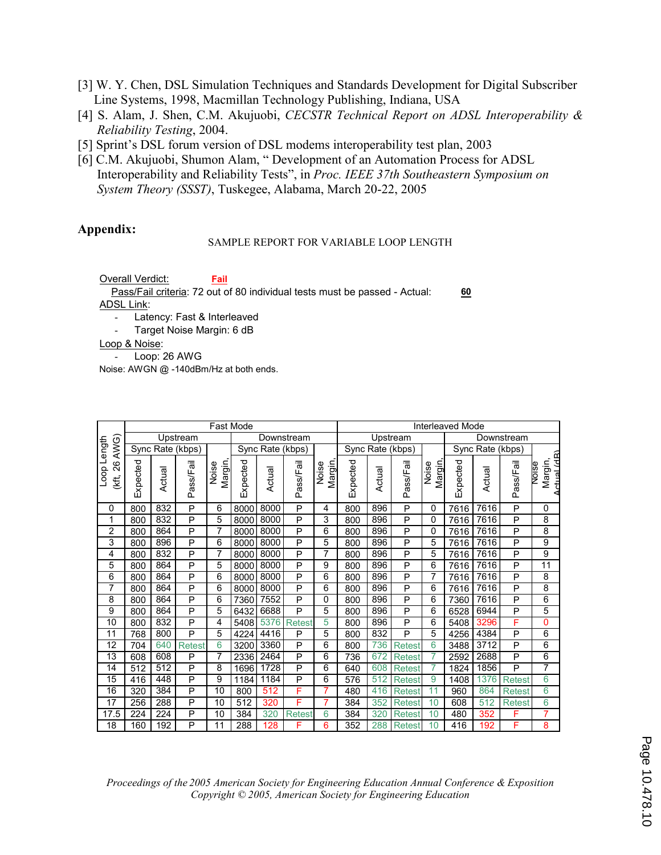- [3] W. Y. Chen, DSL Simulation Techniques and Standards Development for Digital Subscriber Line Systems, 1998, Macmillan Technology Publishing, Indiana, USA
- [4] S. Alam, J. Shen, C.M. Akujuobi, CECSTR Technical Report on ADSL Interoperability & Reliability Testing, 2004.
- [5] Sprint's DSL forum version of DSL modems interoperability test plan, 2003
- [6] C.M. Akujuobi, Shumon Alam, " Development of an Automation Process for ADSL Interoperability and Reliability Tests", in Proc. IEEE 37th Southeastern Symposium on System Theory (SSST), Tuskegee, Alabama, March 20-22, 2005

#### Appendix:

#### SAMPLE REPORT FOR VARIABLE LOOP LENGTH

Overall Verdict:

60 ADSL Link: Pass/Fail criteria: 72 out of 80 individual tests must be passed - Actual:

Latency: Fast & Interleaved

Fail

Target Noise Margin: 6 dB

Loop & Noise:

- Loop: 26 AWG

Noise: AWGN @ -140dBm/Hz at both ends.

|                           | <b>Fast Mode</b> |        |               |                                    |          |        |                  | <b>Interleaved Mode</b> |          |            |                  |                  |          |        |                |                               |
|---------------------------|------------------|--------|---------------|------------------------------------|----------|--------|------------------|-------------------------|----------|------------|------------------|------------------|----------|--------|----------------|-------------------------------|
|                           | Upstream         |        |               | Downstream                         |          |        | Upstream         |                         |          | Downstream |                  |                  |          |        |                |                               |
| AWG)                      | Sync Rate (kbps) |        |               | Sync Rate (kbps)                   |          |        | Sync Rate (kbps) |                         |          |            | Sync Rate (kbps) |                  |          |        |                |                               |
| Loop Length<br>26<br>(kt, | Expected         | Actual | Pass/Fail     | Margin,<br>$\pmb{\omega}$<br>Noise | Expected | Actual | Pass/Fail        | Margin,<br>Noise        | Expected | Actual     | Pass/Fail        | Margin,<br>Noise | Expected | Actual | Pass/Fail      | ∆H اal rd<br>Margin,<br>NOISE |
| 0                         | 800              | 832    | P             | 6                                  | 8000     | 8000   | P                | 4                       | 800      | 896        | P                | 0                | 7616     | 7616   | P              | 0                             |
| 1                         | 800              | 832    | P             | 5                                  | 8000     | 8000   | P                | 3                       | 800      | 896        | P                | 0                | 7616     | 7616   | P              | 8                             |
| 2                         | 800              | 864    | P             | 7                                  | 8000     | 8000   | P                | 6                       | 800      | 896        | P                | 0                | 7616     | 7616   | P              | 8                             |
| 3                         | 800              | 896    | P             | 6                                  | 8000     | 8000   | P                | 5                       | 800      | 896        | P                | 5                | 7616     | 7616   | P              | 9                             |
| 4                         | 800              | 832    | P             | 7                                  | 8000     | 8000   | P                |                         | 800      | 896        | P                | 5                | 7616     | 7616   | P              | 9                             |
| 5                         | 800              | 864    | P             | 5                                  | 8000     | 8000   | P                | 9                       | 800      | 896        | P                | 6                | 7616     | 7616   | P              | $\overline{11}$               |
| 6                         | 800              | 864    | P             | 6                                  | 8000     | 8000   | P                | 6                       | 800      | 896        | P                | 7                | 7616     | 7616   | P              | 8                             |
| 7                         | 800              | 864    | P             | 6                                  | 8000     | 8000   | P                | 6                       | 800      | 896        | P                | 6                | 7616     | 7616   | P              | 8                             |
| 8                         | 800              | 864    | P             | 6                                  | 7360     | 7552   | P                | 0                       | 800      | 896        | P                | 6                | 7360     | 7616   | P              | 6                             |
| 9                         | 800              | 864    | P             | 5                                  | 6432     | 6688   | P                | 5                       | 800      | 896        | P                | 6                | 6528     | 6944   | $\overline{P}$ | 5                             |
| 10                        | 800              | 832    | P             | 4                                  | 5408     | 5376   | <b>Retest</b>    | 5                       | 800      | 896        | P                | 6                | 5408     | 3296   | F              | 0                             |
| 11                        | 768              | 800    | P             | 5                                  | 4224     | 4416   | P                | 5                       | 800      | 832        | P                | 5                | 4256     | 4384   | P              | 6                             |
| 12                        | 704              | 640    | <b>Retest</b> | 6                                  | 3200     | 3360   | P                | 6                       | 800      | 736        | <b>Retest</b>    | 6                | 3488     | 3712   | P              | 6                             |
| 13                        | 608              | 608    | P             |                                    | 2336     | 2464   | P                | 6                       | 736      | 672        | <b>Retest</b>    | 7                | 2592     | 2688   | P              | 6                             |
| 14                        | 512              | 512    | P             | 8                                  | 1696     | 1728   | P                | 6                       | 640      | 608        | <b>Retest</b>    | 7                | 1824     | 1856   | P              | $\overline{7}$                |
| 15                        | 416              | 448    | P             | 9                                  | 1184     | 1184   | P                | 6                       | 576      | 512        | <b>Retest</b>    | 9                | 1408     | 376    | <b>Retest</b>  | 6                             |
| 16                        | 320              | 384    | P             | 10                                 | 800      | 512    | F                |                         | 480      | 416        | Retest           | 11               | 960      | 864    | <b>Retest</b>  | 6                             |
| 17                        | 256              | 288    | P             | 10                                 | 512      | 320    | F                |                         | 384      | 352        | <b>Retest</b>    | 10               | 608      | 512    | <b>Retest</b>  | 6                             |
| 17.5                      | 224              | 224    | P             | 10                                 | 384      | 320    | <b>Retest</b>    | 6                       | 384      | 320        | <b>Retest</b>    | 10               | 480      | 352    | F              | 7                             |
| 18                        | 160              | 192    | P             | 11                                 | 288      | 128    | F                | 6                       | 352      | 288        | <b>Retest</b>    | 10               | 416      | 192    | F              | 8                             |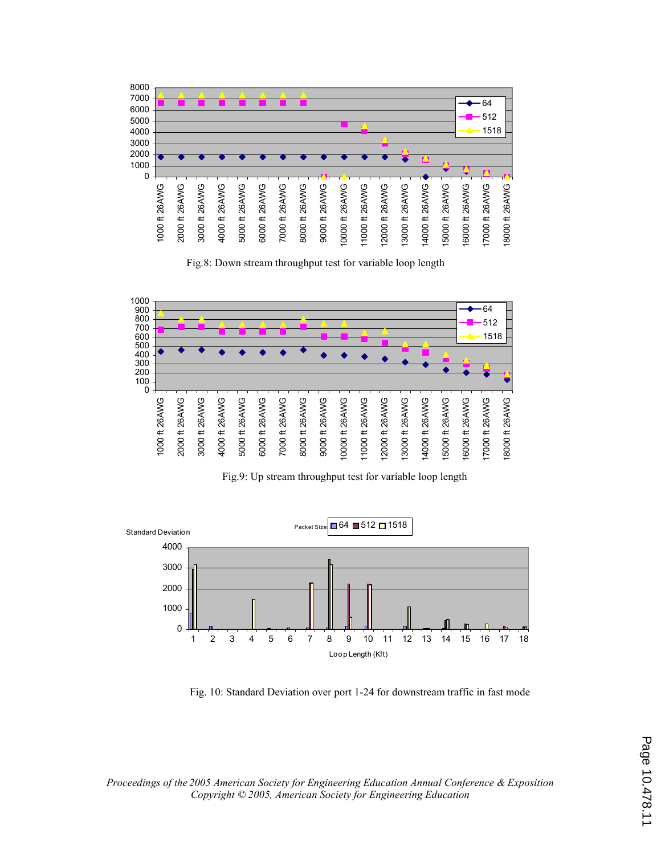

Fig.8: Down stream throughput test for variable loop length



Fig.9: Up stream throughput test for variable loop length



Fig. 10: Standard Deviation over port 1-24 for downstream traffic in fast mode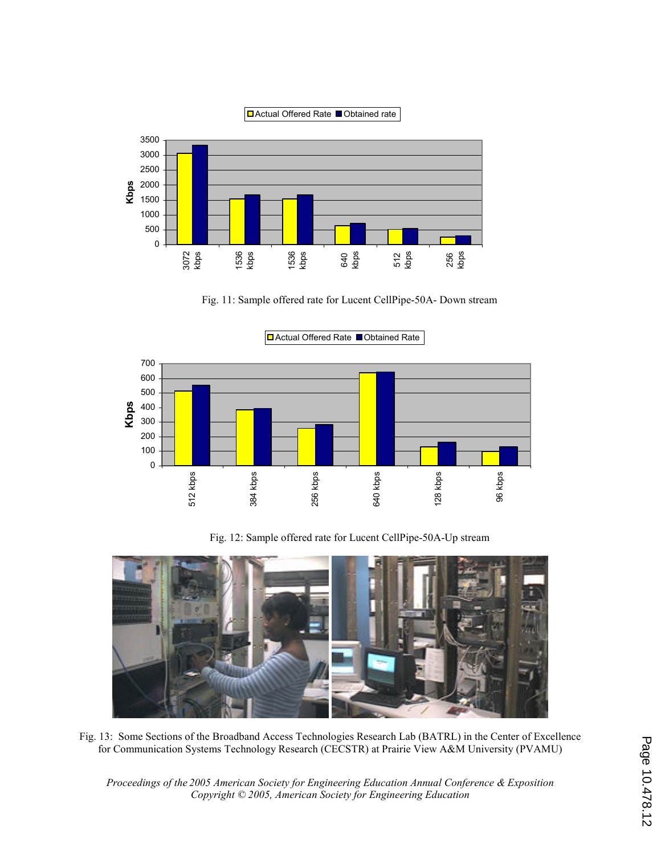

Fig. 11: Sample offered rate for Lucent CellPipe-50A- Down stream



Fig. 12: Sample offered rate for Lucent CellPipe-50A-Up stream



Fig. 13: Some Sections of the Broadband Access Technologies Research Lab (BATRL) in the Center of Excellence for Communication Systems Technology Research (CECSTR) at Prairie View A&M University (PVAMU)